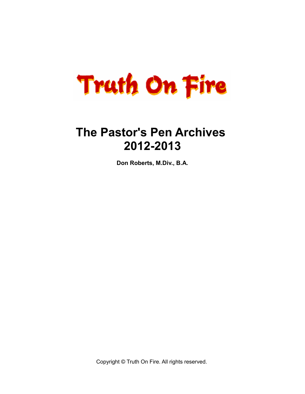

# **The Pastor's Pen Archives 2012-2013**

**Don Roberts, M.Div., B.A.**

Copyright © Truth On Fire. All rights reserved.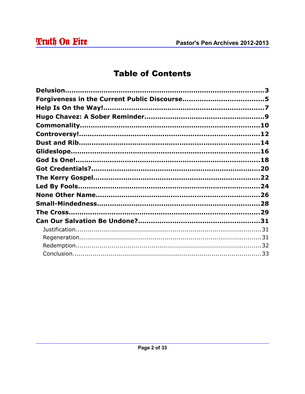# **Table of Contents**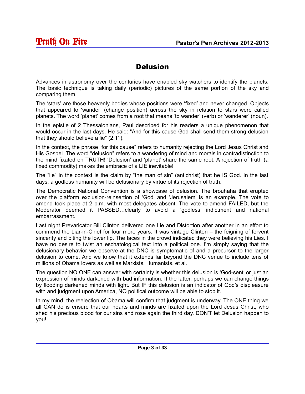#### Delusion

Advances in astronomy over the centuries have enabled sky watchers to identify the planets. The basic technique is taking daily (periodic) pictures of the same portion of the sky and comparing them.

The 'stars' are those heavenly bodies whose positions were 'fixed' and never changed. Objects that appeared to 'wander' (change position) across the sky in relation to stars were called planets. The word 'planet' comes from a root that means 'to wander' (verb) or 'wanderer' (noun).

In the epistle of 2 Thessalonians, Paul described for his readers a unique phenomenon that would occur in the last days. He said: "And for this cause God shall send them strong delusion that they should believe a lie" (2:11).

In the context, the phrase "for this cause" refers to humanity rejecting the Lord Jesus Christ and His Gospel. The word "delusion" refers to a wandering of mind and morals in contradistinction to the mind fixated on TRUTH! 'Delusion' and 'planet' share the same root. A rejection of truth (a fixed commodity) makes the embrace of a LIE inevitable!

The "lie" in the context is the claim by "the man of sin" (antichrist) that he IS God. In the last days, a godless humanity will be delusionary by virtue of its rejection of truth.

The Democratic National Convention is a showcase of delusion. The brouhaha that erupted over the platform exclusion-reinsertion of 'God' and 'Jerusalem' is an example. The vote to amend took place at 2 p.m. with most delegates absent. The vote to amend FAILED, but the Moderator deemed it PASSED…clearly to avoid a 'godless' indictment and national embarrassment.

Last night Prevaricator Bill Clinton delivered one Lie and Distortion after another in an effort to commend the Liar-in-Chief for four more years. It was vintage Clinton – the feigning of fervent sincerity and biting the lower lip. The faces in the crowd indicated they were believing his Lies. I have no desire to twist an eschatological text into a political one. I'm simply saying that the delusionary behavior we observe at the DNC is symptomatic of and a precursor to the larger delusion to come. And we know that it extends far beyond the DNC venue to include tens of millions of Obama lovers as well as Marxists, Humanists, et al.

The question NO ONE can answer with certainty is whether this delusion is 'God-sent' or just an expression of minds darkened with bad information. If the latter, perhaps we can change things by flooding darkened minds with light. But IF this delusion is an indicator of God's displeasure with and judgment upon America, NO political outcome will be able to stop it.

In my mind, the reelection of Obama will confirm that judgment is underway. The ONE thing we all CAN do is ensure that our hearts and minds are fixated upon the Lord Jesus Christ, who shed his precious blood for our sins and rose again the third day. DON'T let Delusion happen to you!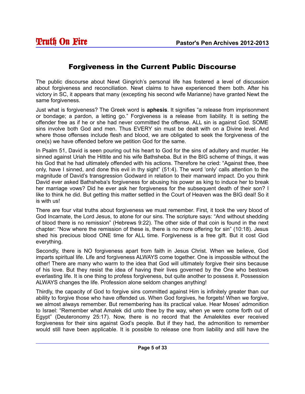#### Forgiveness in the Current Public Discourse

The public discourse about Newt Gingrich's personal life has fostered a level of discussion about forgiveness and reconciliation. Newt claims to have experienced them both. After his victory in SC, it appears that many (excepting his second wife Marianne) have granted Newt the same forgiveness.

Just what is forgiveness? The Greek word is **aphesis**. It signifies "a release from imprisonment or bondage; a pardon, a letting go." Forgiveness is a release from liability. It is setting the offender free as if he or she had never committed the offense. ALL sin is against God. SOME sins involve both God and men. Thus EVERY sin must be dealt with on a Divine level. And where those offenses include flesh and blood, we are obligated to seek the forgiveness of the one(s) we have offended before we petition God for the same.

In Psalm 51, David is seen pouring out his heart to God for the sins of adultery and murder. He sinned against Uriah the Hittite and his wife Bathsheba. But in the BIG scheme of things, it was his God that he had ultimately offended with his actions. Therefore he cried: "Against thee, thee only, have I sinned, and done this evil in thy sight" (51:4). The word 'only' calls attention to the magnitude of David's transgression Godward in relation to their manward impact. Do you think David ever asked Bathsheba's forgiveness for abusing his power as king to induce her to break her marriage vows? Did he ever ask her forgiveness for the subsequent death of their son? I like to think he did. But getting this matter settled in the Court of Heaven was the BIG deal! So it is with us!

There are four vital truths about forgiveness we must remember. First, it took the very blood of God Incarnate, the Lord Jesus, to atone for our sins. The scripture says: "And without shedding of blood there is no remission" (Hebrews 9:22). The other side of that coin is found in the next chapter: "Now where the remission of these is, there is no more offering for sin" (10:18). Jesus shed his precious blood ONE time for ALL time. Forgiveness is a free gift. But it cost God everything.

Secondly, there is NO forgiveness apart from faith in Jesus Christ. When we believe, God imparts spiritual life. Life and forgiveness ALWAYS come together. One is impossible without the other! There are many who warm to the idea that God will ultimately forgive their sins because of his love. But they resist the idea of having their lives governed by the One who bestows everlasting life. It is one thing to profess forgiveness, but quite another to possess it. Possession ALWAYS changes the life. Profession alone seldom changes anything!

Thirdly, the capacity of God to forgive sins committed against Him is infinitely greater than our ability to forgive those who have offended us. When God forgives, he forgets! When we forgive, we almost always remember. But remembering has its practical value. Hear Moses' admonition to Israel: "Remember what Amalek did unto thee by the way, when ye were come forth out of Egypt" (Deuteronomy 25:17). Now, there is no record that the Amalekites ever received forgiveness for their sins against God's people. But if they had, the admonition to remember would still have been applicable. It is possible to release one from liability and still have the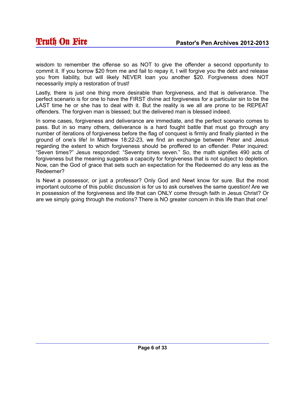wisdom to remember the offense so as NOT to give the offender a second opportunity to commit it. If you borrow \$20 from me and fail to repay it, I will forgive you the debt and release you from liability, but will likely NEVER loan you another \$20. Forgiveness does NOT necessarily imply a restoration of trust!

Lastly, there is just one thing more desirable than forgiveness, and that is deliverance. The perfect scenario is for one to have the FIRST divine act forgiveness for a particular sin to be the LAST time he or she has to deal with it. But the reality is we all are prone to be REPEAT offenders. The forgiven man is blessed; but the delivered man is blessed indeed.

In some cases, forgiveness and deliverance are immediate, and the perfect scenario comes to pass. But in so many others, deliverance is a hard fought battle that must go through any number of iterations of forgiveness before the flag of conquest is firmly and finally planted in the ground of one's life! In Matthew 18:22-23, we find an exchange between Peter and Jesus regarding the extent to which forgiveness should be proffered to an offender. Peter inquired: "Seven times?" Jesus responded: "Seventy times seven." So, the math signifies 490 acts of forgiveness but the meaning suggests a capacity for forgiveness that is not subject to depletion. Now, can the God of grace that sets such an expectation for the Redeemed do any less as the Redeemer?

Is Newt a possessor, or just a professor? Only God and Newt know for sure. But the most important outcome of this public discussion is for us to ask ourselves the same question! Are we in possession of the forgiveness and life that can ONLY come through faith in Jesus Christ? Or are we simply going through the motions? There is NO greater concern in this life than that one!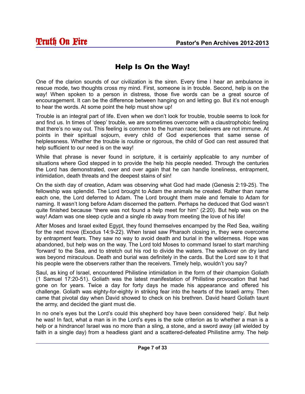# Help Is On the Way!

One of the clarion sounds of our civilization is the siren. Every time I hear an ambulance in rescue mode, two thoughts cross my mind. First, someone is in trouble. Second, help is on the way! When spoken to a person in distress, those five words can be a great source of encouragement. It can be the difference between hanging on and letting go. But it's not enough to hear the words. At some point the help must show up!

Trouble is an integral part of life. Even when we don't look for trouble, trouble seems to look for and find us. In times of 'deep' trouble, we are sometimes overcome with a claustrophobic feeling that there's no way out. This feeling is common to the human race; believers are not immune. At points in their spiritual sojourn, every child of God experiences that same sense of helplessness. Whether the trouble is routine or rigorous, the child of God can rest assured that help sufficient to our need is on the way!

While that phrase is never found in scripture, it is certainly applicable to any number of situations where God stepped in to provide the help his people needed. Through the centuries the Lord has demonstrated, over and over again that he can handle loneliness, entrapment, intimidation, death threats and the deepest stains of sin!

On the sixth day of creation, Adam was observing what God had made (Genesis 2:19-25). The fellowship was splendid. The Lord brought to Adam the animals he created. Rather than name each one, the Lord deferred to Adam. The Lord brought them male and female to Adam for naming. It wasn't long before Adam discerned the pattern. Perhaps he deduced that God wasn't quite finished because "there was not found a help meet for him" (2:20). But help was on the way! Adam was one sleep cycle and a single rib away from meeting the love of his life!

After Moses and Israel exited Egypt, they found themselves encamped by the Red Sea, waiting for the next move (Exodus 14:9-22). When Israel saw Pharaoh closing in, they were overcome by entrapment fears. They saw no way to avoid death and burial in the wilderness. Hope was abandoned, but help was on the way. The Lord told Moses to command Israel to start marching 'forward' to the Sea, and to stretch out his rod to divide the waters. The walkover on dry land was beyond miraculous. Death and burial was definitely in the cards. But the Lord saw to it that his people were the observers rather than the receivers. Timely help, wouldn't you say?

Saul, as king of Israel, encountered Philistine intimidation in the form of their champion Goliath (1 Samuel 17:20-51). Goliath was the latest manifestation of Philistine provocation that had gone on for years. Twice a day for forty days he made his appearance and offered his challenge. Goliath was eighty-for-eighty in striking fear into the hearts of the Israeli army. Then came that pivotal day when David showed to check on his brethren. David heard Goliath taunt the army, and decided the giant must die.

In no one's eyes but the Lord's could this shepherd boy have been considered 'help'. But help he was! In fact, what a man is in the Lord's eyes is the sole criterion as to whether a man is a help or a hindrance! Israel was no more than a sling, a stone, and a sword away (all wielded by faith in a single day) from a headless giant and a scattered-defeated Philistine army. The help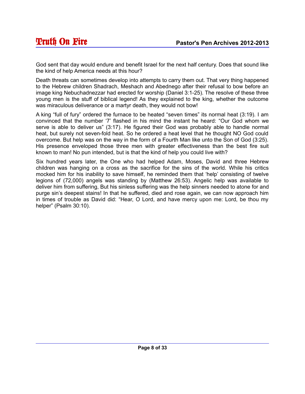God sent that day would endure and benefit Israel for the next half century. Does that sound like the kind of help America needs at this hour?

Death threats can sometimes develop into attempts to carry them out. That very thing happened to the Hebrew children Shadrach, Meshach and Abednego after their refusal to bow before an image king Nebuchadnezzar had erected for worship (Daniel 3:1-25). The resolve of these three young men is the stuff of biblical legend! As they explained to the king, whether the outcome was miraculous deliverance or a martyr death, they would not bow!

A king "full of fury" ordered the furnace to be heated "seven times" its normal heat (3:19). I am convinced that the number '7' flashed in his mind the instant he heard: "Our God whom we serve is able to deliver us" (3:17). He figured their God was probably able to handle normal heat, but surely not seven-fold heat. So he ordered a heat level that he thought NO God could overcome. But help was on the way in the form of a Fourth Man like unto the Son of God (3:25). His presence enveloped those three men with greater effectiveness than the best fire suit known to man! No pun intended, but is that the kind of help you could live with?

Six hundred years later, the One who had helped Adam, Moses, David and three Hebrew children was hanging on a cross as the sacrifice for the sins of the world. While his critics mocked him for his inability to save himself, he reminded them that 'help' consisting of twelve legions of (72,000) angels was standing by (Matthew 26:53). Angelic help was available to deliver him from suffering, But his sinless suffering was the help sinners needed to atone for and purge sin's deepest stains! In that he suffered, died and rose again, we can now approach him in times of trouble as David did: "Hear, O Lord, and have mercy upon me: Lord, be thou my helper" (Psalm 30:10).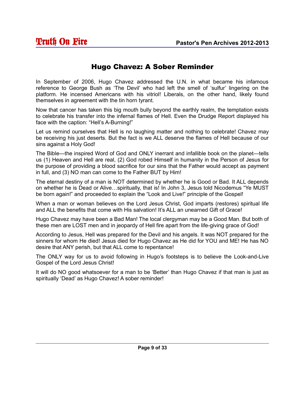#### Hugo Chavez: A Sober Reminder

In September of 2006, Hugo Chavez addressed the U.N. in what became his infamous reference to George Bush as 'The Devil' who had left the smell of 'sulfur' lingering on the platform. He incensed Americans with his vitriol! Liberals, on the other hand, likely found themselves in agreement with the tin horn tyrant.

Now that cancer has taken this big mouth bully beyond the earthly realm, the temptation exists to celebrate his transfer into the infernal flames of Hell. Even the Drudge Report displayed his face with the caption: "Hell's A-Burning!"

Let us remind ourselves that Hell is no laughing matter and nothing to celebrate! Chavez may be receiving his just deserts. But the fact is we ALL deserve the flames of Hell because of our sins against a Holy God!

The Bible—the inspired Word of God and ONLY inerrant and infallible book on the planet—tells us (1) Heaven and Hell are real, (2) God robed Himself in humanity in the Person of Jesus for the purpose of providing a blood sacrifice for our sins that the Father would accept as payment in full, and (3) NO man can come to the Father BUT by Him!

The eternal destiny of a man is NOT determined by whether he is Good or Bad. It ALL depends on whether he is Dead or Alive…spiritually, that is! In John 3, Jesus told Nicodemus "Ye MUST be born again!" and proceeded to explain the "Look and Live!" principle of the Gospel!

When a man or woman believes on the Lord Jesus Christ, God imparts (restores) spiritual life and ALL the benefits that come with His salvation! It's ALL an unearned Gift of Grace!

Hugo Chavez may have been a Bad Man! The local clergyman may be a Good Man. But both of these men are LOST men and in jeopardy of Hell fire apart from the life-giving grace of God!

According to Jesus, Hell was prepared for the Devil and his angels. It was NOT prepared for the sinners for whom He died! Jesus died for Hugo Chavez as He did for YOU and ME! He has NO desire that ANY perish, but that ALL come to repentance!

The ONLY way for us to avoid following in Hugo's footsteps is to believe the Look-and-Live Gospel of the Lord Jesus Christ!

It will do NO good whatsoever for a man to be 'Better' than Hugo Chavez if that man is just as spiritually 'Dead' as Hugo Chavez! A sober reminder!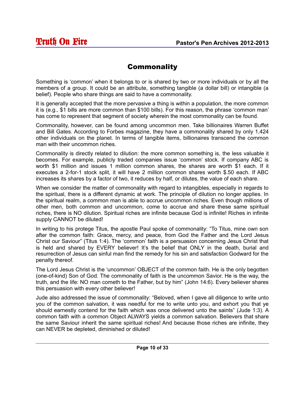#### **Commonality**

Something is 'common' when it belongs to or is shared by two or more individuals or by all the members of a group. It could be an attribute, something tangible (a dollar bill) or intangible (a belief). People who share things are said to have a commonality.

It is generally accepted that the more pervasive a thing is within a population, the more common it is (e.g., \$1 bills are more common than \$100 bills). For this reason, the phrase 'common man' has come to represent that segment of society wherein the most commonality can be found.

Commonality, however, can be found among uncommon men. Take billionaires Warren Buffet and Bill Gates. According to Forbes magazine, they have a commonality shared by only 1,424 other individuals on the planet. In terms of tangible items, billionaires transcend the common man with their uncommon riches.

Commonality is directly related to dilution: the more common something is, the less valuable it becomes. For example, publicly traded companies issue 'common' stock. If company ABC is worth \$1 million and issues 1 million common shares, the shares are worth \$1 each. If it executes a 2-for-1 stock split, it will have 2 million common shares worth \$.50 each. If ABC increases its shares by a factor of two, it reduces by half, or dilutes, the value of each share.

When we consider the matter of commonality with regard to intangibles, especially in regards to the spiritual, there is a different dynamic at work. The principle of dilution no longer applies. In the spiritual realm, a common man is able to accrue uncommon riches. Even though millions of other men, both common and uncommon, come to accrue and share these same spiritual riches, there is NO dilution. Spiritual riches are infinite because God is infinite! Riches in infinite supply CANNOT be diluted!

In writing to his protege Titus, the apostle Paul spoke of commonality: "To Titus, mine own son after the common faith: Grace, mercy, and peace, from God the Father and the Lord Jesus Christ our Saviour" (Titus 1:4). The 'common' faith is a persuasion concerning Jesus Christ that is held and shared by EVERY believer! It's the belief that ONLY in the death, burial and resurrection of Jesus can sinful man find the remedy for his sin and satisfaction Godward for the penalty thereof.

The Lord Jesus Christ is the 'uncommon' OBJECT of the common faith. He is the only begotten (one-of-kind) Son of God. The commonality of faith is the uncommon Savior. He is the way, the truth, and the life: NO man cometh to the Father, but by him" (John 14:6). Every believer shares this persuasion with every other believer!

Jude also addressed the issue of commonality: "Beloved, when I gave all diligence to write unto you of the common salvation, it was needful for me to write unto you, and exhort you that ye should earnestly contend for the faith which was once delivered unto the saints" (Jude 1:3). A common faith with a common Object ALWAYS yields a common salvation. Believers that share the same Saviour inherit the same spiritual riches! And because those riches are infinite, they can NEVER be depleted, diminished or diluted!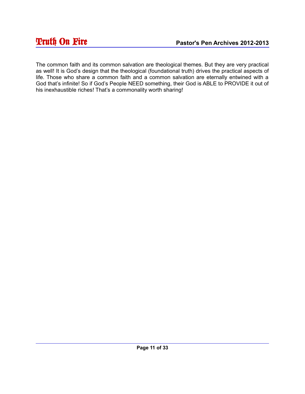The common faith and its common salvation are theological themes. But they are very practical as well! It is God's design that the theological (foundational truth) drives the practical aspects of life. Those who share a common faith and a common salvation are eternally entwined with a God that's infinite! So if God's People NEED something, their God is ABLE to PROVIDE it out of his inexhaustible riches! That's a commonality worth sharing!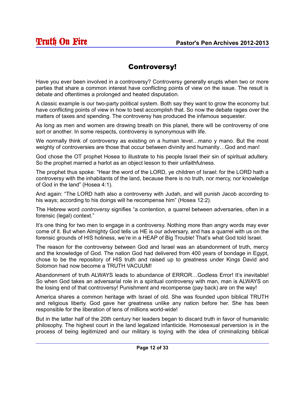#### Controversy!

Have you ever been involved in a controversy? Controversy generally erupts when two or more parties that share a common interest have conflicting points of view on the issue. The result is debate and oftentimes a prolonged and heated disputation.

A classic example is our two-party political system. Both say they want to grow the economy but have conflicting points of view in how to best accomplish that. So now the debate rages over the matters of taxes and spending. The controversy has produced the infamous sequester.

As long as men and women are drawing breath on this planet, there will be controversy of one sort or another. In some respects, controversy is synonymous with life.

We normally think of controversy as existing on a human level...mano y mano. But the most weighty of controversies are those that occur between divinity and humanity…God and man!

God chose the OT prophet Hosea to illustrate to his people Israel their sin of spiritual adultery. So the prophet married a harlot as an object lesson to their unfaithfulness.

The prophet thus spoke: "Hear the word of the LORD, ye children of Israel: for the LORD hath a controversy with the inhabitants of the land, because there is no truth, nor mercy, nor knowledge of God in the land" (Hosea 4:1).

And again: "The LORD hath also a controversy with Judah, and will punish Jacob according to his ways; according to his doings will he recompense him" (Hosea 12:2).

The Hebrew word *controversy* signifies "a contention, a quarrel between adversaries, often in a forensic (legal) context."

It's one thing for two men to engage in a controversy. Nothing more than angry words may ever come of it. But when Almighty God tells us HE is our adversary, and has a quarrel with us on the forensic grounds of HIS holiness, we're in a HEAP of Big Trouble! That's what God told Israel.

The reason for the controversy between God and Israel was an abandonment of truth, mercy and the knowledge of God. The nation God had delivered from 400 years of bondage in Egypt, chose to be the repository of HIS truth and raised up to greatness under Kings David and Solomon had now become a TRUTH VACUUM!

Abandonment of truth ALWAYS leads to abundance of ERROR…Godless Error! It's inevitable! So when God takes an adversarial role in a spiritual controversy with man, man is ALWAYS on the losing end of that controversy! Punishment and recompense (pay back) are on the way!

America shares a common heritage with Israel of old. She was founded upon biblical TRUTH and religious liberty. God gave her greatness unlike any nation before her. She has been responsible for the liberation of tens of millions world-wide!

But in the latter half of the 20th century her leaders began to discard truth in favor of humanistic philosophy. The highest court in the land legalized infanticide. Homosexual perversion is in the process of being legitimized and our military is toying with the idea of criminalizing biblical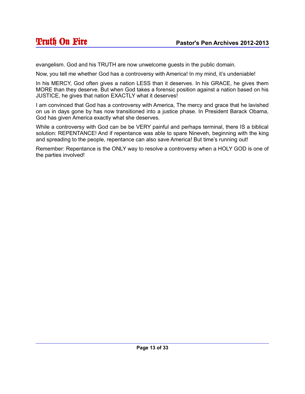evangelism. God and his TRUTH are now unwelcome guests in the public domain.

Now, you tell me whether God has a controversy with America! In my mind, it's undeniable!

In his MERCY, God often gives a nation LESS than it deserves. In his GRACE, he gives them MORE than they deserve. But when God takes a forensic position against a nation based on his JUSTICE, he gives that nation EXACTLY what it deserves!

I am convinced that God has a controversy with America, The mercy and grace that he lavished on us in days gone by has now transitioned into a justice phase. In President Barack Obama, God has given America exactly what she deserves.

While a controversy with God can be be VERY painful and perhaps terminal, there IS a biblical solution: REPENTANCE! And if repentance was able to spare Nineveh, beginning with the king and spreading to the people, repentance can also save America! But time's running out!

Remember: Repentance is the ONLY way to resolve a controversy when a HOLY GOD is one of the parties involved!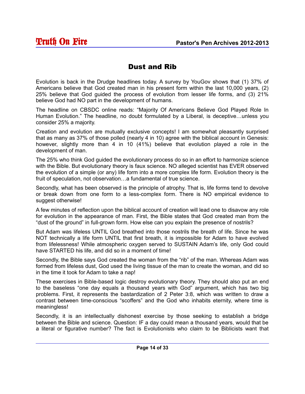#### Dust and Rib

Evolution is back in the Drudge headlines today. A survey by YouGov shows that (1) 37% of Americans believe that God created man in his present form within the last 10,000 years, (2) 25% believe that God guided the process of evolution from lesser life forms, and (3) 21% believe God had NO part in the development of humans.

The headline on CBSDC online reads: "Majority Of Americans Believe God Played Role In Human Evolution." The headline, no doubt formulated by a Liberal, is deceptive…unless you consider 25% a majority.

Creation and evolution are mutually exclusive concepts! I am somewhat pleasantly surprised that as many as 37% of those polled (nearly 4 in 10) agree with the biblical account in Genesis: however, slightly more than 4 in 10 (41%) believe that evolution played a role in the development of man.

The 25% who think God guided the evolutionary process do so in an effort to harmonize science with the Bible. But evolutionary theory is faux science. NO alleged scientist has EVER observed the evolution of a simple (or any) life form into a more complex life form. Evolution theory is the fruit of speculation, not observation…a fundamental of true science.

Secondly, what has been observed is the principle of atrophy. That is, life forms tend to devolve or break down from one form to a less-complex form. There is NO empirical evidence to suggest otherwise!

A few minutes of reflection upon the biblical account of creation will lead one to disavow any role for evolution in the appearance of man. First, the Bible states that God created man from the "dust of the ground" in full-grown form. How else can you explain the presence of nostrils?

But Adam was lifeless UNTIL God breathed into those nostrils the breath of life. Since he was NOT technically a life form UNTIL that first breath, it is impossible for Adam to have evolved from lifelessness! While atmospheric oxygen served to SUSTAIN Adam's life, only God could have STARTED his life, and did so in a moment of time!

Secondly, the Bible says God created the woman from the "rib" of the man. Whereas Adam was formed from lifeless dust, God used the living tissue of the man to create the woman, and did so in the time it took for Adam to take a nap!

These exercises in Bible-based logic destroy evolutionary theory. They should also put an end to the baseless "one day equals a thousand years with God" argument, which has two big problems. First, it represents the bastardization of 2 Peter 3:8, which was written to draw a contrast between time-conscious "scoffers" and the God who inhabits eternity, where time is meaningless!

Secondly, it is an intellectually dishonest exercise by those seeking to establish a bridge between the Bible and science. Question: IF a day could mean a thousand years, would that be a literal or figurative number? The fact is Evolutionists who claim to be Biblicists want that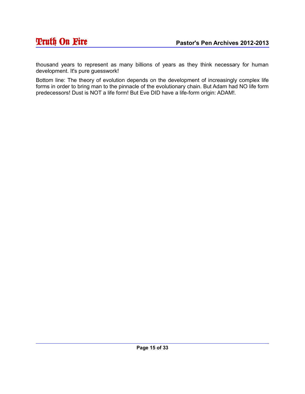thousand years to represent as many billions of years as they think necessary for human development. It's pure guesswork!

Bottom line: The theory of evolution depends on the development of increasingly complex life forms in order to bring man to the pinnacle of the evolutionary chain. But Adam had NO life form predecessors! Dust is NOT a life form! But Eve DID have a life-form origin: ADAM!.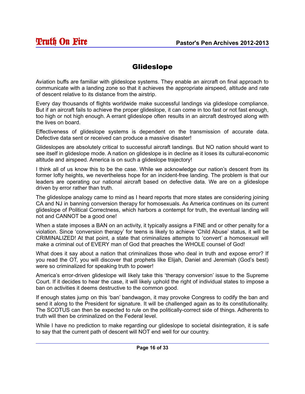#### Glideslope

Aviation buffs are familiar with glideslope systems. They enable an aircraft on final approach to communicate with a landing zone so that it achieves the appropriate airspeed, altitude and rate of descent relative to its distance from the airstrip.

Every day thousands of flights worldwide make successful landings via glideslope compliance. But if an aircraft fails to achieve the proper glideslope, it can come in too fast or not fast enough, too high or not high enough. A errant glideslope often results in an aircraft destroyed along with the lives on board.

Effectiveness of glideslope systems is dependent on the transmission of accurate data. Defective data sent or received can produce a massive disaster!

Glideslopes are absolutely critical to successful aircraft landings. But NO nation should want to see itself in glideslope mode. A nation on glideslope is in decline as it loses its cultural-economic altitude and airspeed. America is on such a glideslope trajectory!

I think all of us know this to be the case. While we acknowledge our nation's descent from its former lofty heights, we nevertheless hope for an incident-free landing. The problem is that our leaders are operating our national aircraft based on defective data. We are on a glideslope driven by error rather than truth.

The glideslope analogy came to mind as I heard reports that more states are considering joining CA and NJ in banning conversion therapy for homosexuals. As America continues on its current glideslope of Political Correctness, which harbors a contempt for truth, the eventual landing will not and CANNOT be a good one!

When a state imposes a BAN on an activity, it typically assigns a FINE and or other penalty for a violation. Since 'conversion therapy' for teens is likely to achieve 'Child Abuse' status, it will be CRIMINALIZED! At that point, a state that criminalizes attempts to 'convert' a homosexual will make a criminal out of EVERY man of God that preaches the WHOLE counsel of God!

What does it say about a nation that criminalizes those who deal in truth and expose error? If you read the OT, you will discover that prophets like Elijah, Daniel and Jeremiah (God's best) were so criminalized for speaking truth to power!

America's error-driven glideslope will likely take this 'therapy conversion' issue to the Supreme Court. If it decides to hear the case, it will likely uphold the right of individual states to impose a ban on activities it deems destructive to the common good.

If enough states jump on this 'ban' bandwagon, it may provoke Congress to codify the ban and send it along to the President for signature. It will be challenged again as to its constitutionality. The SCOTUS can then be expected to rule on the politically-correct side of things. Adherents to truth will then be criminalized on the Federal level.

While I have no prediction to make regarding our glideslope to societal disintegration, it is safe to say that the current path of descent will NOT end well for our country.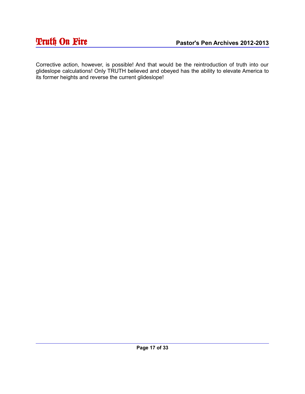Corrective action, however, is possible! And that would be the reintroduction of truth into our glideslope calculations! Only TRUTH believed and obeyed has the ability to elevate America to its former heights and reverse the current glideslope!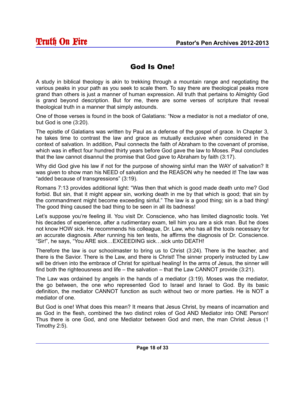#### God Is One!

A study in biblical theology is akin to trekking through a mountain range and negotiating the various peaks in your path as you seek to scale them. To say there are theological peaks more grand than others is just a manner of human expression. All truth that pertains to Almighty God is grand beyond description. But for me, there are some verses of scripture that reveal theological truth in a manner that simply astounds.

One of those verses is found in the book of Galatians: "Now a mediator is not a mediator of one, but God is one (3:20).

The epistle of Galatians was written by Paul as a defense of the gospel of grace. In Chapter 3, he takes time to contrast the law and grace as mutually exclusive when considered in the context of salvation. In addition, Paul connects the faith of Abraham to the covenant of promise, which was in effect four hundred thirty years before God gave the law to Moses. Paul concludes that the law cannot disannul the promise that God gave to Abraham by faith (3:17).

Why did God give his law if not for the purpose of showing sinful man the WAY of salvation? It was given to show man his NEED of salvation and the REASON why he needed it! The law was "added because of transgressions" (3:19).

Romans 7:13 provides additional light: "Was then that which is good made death unto me? God forbid. But sin, that it might appear sin, working death in me by that which is good; that sin by the commandment might become exceeding sinful." The law is a good thing; sin is a bad thing! The good thing caused the bad thing to be seen in all its badness!

Let's suppose you're feeling ill. You visit Dr. Conscience, who has limited diagnostic tools. Yet his decades of experience, after a rudimentary exam, tell him you are a sick man. But he does not know HOW sick. He recommends his colleague, Dr. Law, who has all the tools necessary for an accurate diagnosis. After running his ten tests, he affirms the diagnosis of Dr. Conscience. "Sir!", he says, "You ARE sick…EXCEEDING sick…sick unto DEATH!

Therefore the law is our schoolmaster to bring us to Christ (3:24). There is the teacher, and there is the Savior. There is the Law, and there is Christ! The sinner properly instructed by Law will be driven into the embrace of Christ for spiritual healing! In the arms of Jesus, the sinner will find both the righteousness and life – the salvation – that the Law CANNOT provide (3:21).

The Law was ordained by angels in the hands of a mediator (3:19). Moses was the mediator, the go between, the one who represented God to Israel and Israel to God. By its basic definition, the mediator CANNOT function as such without two or more parties. He is NOT a mediator of one.

But God is one! What does this mean? It means that Jesus Christ, by means of incarnation and as God in the flesh, combined the two distinct roles of God AND Mediator into ONE Person! Thus there is one God, and one Mediator between God and men, the man Christ Jesus (1 Timothy 2:5).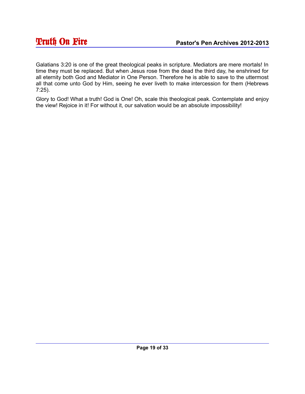Galatians 3:20 is one of the great theological peaks in scripture. Mediators are mere mortals! In time they must be replaced. But when Jesus rose from the dead the third day, he enshrined for all eternity both God and Mediator in One Person. Therefore he is able to save to the uttermost all that come unto God by Him, seeing he ever liveth to make intercession for them (Hebrews 7:25).

Glory to God! What a truth! God is One! Oh, scale this theological peak. Contemplate and enjoy the view! Rejoice in it! For without it, our salvation would be an absolute impossibility!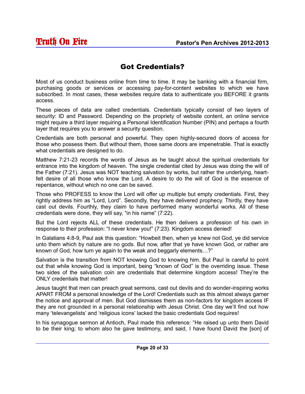#### Got Credentials?

Most of us conduct business online from time to time. It may be banking with a financial firm, purchasing goods or services or accessing pay-for-content websites to which we have subscribed. In most cases, these websites require data to authenticate you BEFORE it grants access.

These pieces of data are called credentials. Credentials typically consist of two layers of security: ID and Password. Depending on the propriety of website content, an online service might require a third layer requiring a Personal Identification Number (PIN) and perhaps a fourth layer that requires you to answer a security question.

Credentials are both personal and powerful. They open highly-secured doors of access for those who possess them. But without them, those same doors are impenetrable. That is exactly what credentials are designed to do.

Matthew 7:21-23 records the words of Jesus as he taught about the spiritual credentials for entrance into the kingdom of heaven. The single credential cited by Jesus was doing the will of the Father (7:21). Jesus was NOT teaching salvation by works, but rather the underlying, heartfelt desire of all those who know the Lord. A desire to do the will of God is the essence of repentance, without which no one can be saved.

Those who PROFESS to know the Lord will offer up multiple but empty credentials. First, they rightly address him as "Lord, Lord". Secondly, they have delivered prophecy. Thirdly, they have cast out devils. Fourthly, they claim to have performed many wonderful works. All of these credentials were done, they will say, "in his name" (7:22).

But the Lord rejects ALL of these credentials. He then delivers a profession of his own in response to their profession: "I never knew you!" (7:23). Kingdom access denied!

In Galatians 4:8-9, Paul ask this question: "Howbeit then, when ye knew not God, ye did service unto them which by nature are no gods. But now, after that ye have known God, or rather are known of God, how turn ye again to the weak and beggarly elements…?"

Salvation is the transition from NOT knowing God to knowing him. But Paul is careful to point out that while knowing God is important, being "known of God" is the overriding issue. These two sides of the salvation coin are credentials that determine kingdom access! They're the ONLY credentials that matter!

Jesus taught that men can preach great sermons, cast out devils and do wonder-inspiring works APART FROM a personal knowledge of the Lord! Credentials such as this almost always garner the notice and approval of men. But God dismisses them as non-factors for kingdom access IF they are not grounded in a personal relationship with Jesus Christ. One day we'll find out how many 'televangelists' and 'religious icons' lacked the basic credentials God requires!

In his synagogue sermon at Antioch, Paul made this reference: "He raised up unto them David to be their king; to whom also he gave testimony, and said, I have found David the [son] of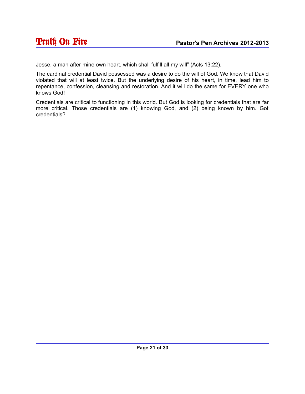Jesse, a man after mine own heart, which shall fulfill all my will" (Acts 13:22).

The cardinal credential David possessed was a desire to do the will of God. We know that David violated that will at least twice. But the underlying desire of his heart, in time, lead him to repentance, confession, cleansing and restoration. And it will do the same for EVERY one who knows God!

Credentials are critical to functioning in this world. But God is looking for credentials that are far more critical. Those credentials are (1) knowing God, and (2) being known by him. Got credentials?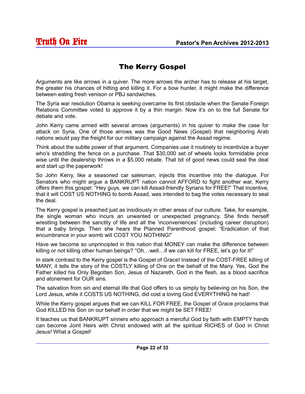# The Kerry Gospel

Arguments are like arrows in a quiver. The more arrows the archer has to release at his target, the greater his chances of hitting and killing it. For a bow hunter, it might make the difference between eating fresh venison or PBJ sandwiches.

The Syria war resolution Obama is seeking overcame its first obstacle when the Senate Foreign Relations Committee voted to approve it by a thin margin. Now it's on to the full Senate for debate and vote.

John Kerry came armed with several arrows (arguments) in his quiver to make the case for attack on Syria. One of those arrows was the Good News (Gospel) that neighboring Arab nations would pay the freight for our military campaign against the Assad regime.

Think about the subtle power of that argument. Companies use it routinely to incentivize a buyer who's straddling the fence on a purchase. That \$30,000 set of wheels looks formidable price wise until the dealership throws in a \$5,000 rebate. That bit of good news could seal the deal and start up the paperwork!

So John Kerry, like a seasoned car salesman, injects this incentive into the dialogue. For Senators who might argue a BANKRUPT nation cannot AFFORD to fight another war, Kerry offers them this gospel: "Hey guys, we can kill Assad-friendly Syrians for FREE!" That incentive, that it will COST US NOTHING to bomb Assad, was intended to bag the votes necessary to seal the deal.

The Kerry gospel is preached just as insidiously in other areas of our culture. Take, for example, the single woman who incurs an unwanted or unexpected pregnancy. She finds herself wrestling between the sanctity of life and all the 'inconveniences' (including career disruption) that a baby brings. Then she hears the Planned Parenthood gospel: "Eradication of that encumbrance in your womb will COST YOU NOTHING!"

Have we become so unprincipled in this nation that MONEY can make the difference between killing or not killing other human beings? "Oh...well... if we can kill for FREE, let's go for it!"

In stark contrast to the Kerry gospel is the Gospel of Grace! Instead of the COST-FREE killing of MANY, it tells the story of the COSTLY killing of One on the behalf of the Many. Yes, God the Father killed his Only Begotten Son, Jesus of Nazareth, God in the flesh, as a blood sacrifice and atonement for OUR sins.

The salvation from sin and eternal life that God offers to us simply by believing on his Son, the Lord Jesus, while it COSTS US NOTHING, did cost a loving God EVERYTHING he had!

While the Kerry gospel argues that we can KILL FOR FREE, the Gospel of Grace proclaims that God KILLED his Son on our behalf in order that we might be SET FREE!

It teaches us that BANKRUPT sinners who approach a merciful God by faith with EMPTY hands can become Joint Heirs with Christ endowed with all the spiritual RICHES of God in Christ Jesus! What a Gospel!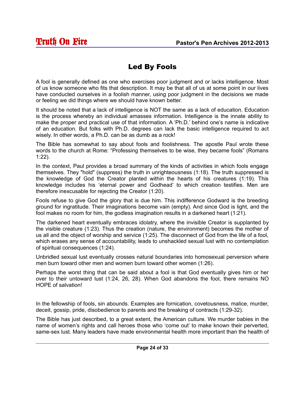# Led By Fools

A fool is generally defined as one who exercises poor judgment and or lacks intelligence. Most of us know someone who fits that description. It may be that all of us at some point in our lives have conducted ourselves in a foolish manner, using poor judgment in the decisions we made or feeling we did things where we should have known better.

It should be noted that a lack of intelligence is NOT the same as a lack of education. Education is the process whereby an individual amasses information. Intelligence is the innate ability to make the proper and practical use of that information. A 'Ph.D.' behind one's name is indicative of an education. But folks with Ph.D. degrees can lack the basic intelligence required to act wisely. In other words, a Ph.D. can be as dumb as a rock!

The Bible has somewhat to say about fools and foolishness. The apostle Paul wrote these words to the church at Rome: "Professing themselves to be wise, they became fools" (Romans 1:22).

In the context, Paul provides a broad summary of the kinds of activities in which fools engage themselves. They "hold" (suppress) the truth in unrighteousness (1:18). The truth suppressed is the knowledge of God the Creator planted within the hearts of his creatures (1:19). This knowledge includes his 'eternal power and Godhead' to which creation testifies. Men are therefore inexcusable for rejecting the Creator (1:20).

Fools refuse to give God the glory that is due him. This indifference Godward is the breeding ground for ingratitude. Their imaginations become vain (empty). And since God is light, and the fool makes no room for him, the godless imagination results in a darkened heart (1:21).

The darkened heart eventually embraces idolatry, where the invisible Creator is supplanted by the visible creature (1:23). Thus the creation (nature, the environment) becomes the mother of us all and the object of worship and service (1:25). The disconnect of God from the life of a fool, which erases any sense of accountability, leads to unshackled sexual lust with no contemplation of spiritual consequences (1:24).

Unbridled sexual lust eventually crosses natural boundaries into homosexual perversion where men burn toward other men and women burn toward other women (1:26).

Perhaps the worst thing that can be said about a fool is that God eventually gives him or her over to their untoward lust (1:24, 26, 28). When God abandons the fool, there remains NO HOPE of salvation!

In the fellowship of fools, sin abounds. Examples are fornication, covetousness, malice, murder, deceit, gossip, pride, disobedience to parents and the breaking of contracts (1:29-32).

The Bible has just described, to a great extent, the American culture. We murder babies in the name of women's rights and call heroes those who 'come out' to make known their perverted, same-sex lust. Many leaders have made environmental health more important than the health of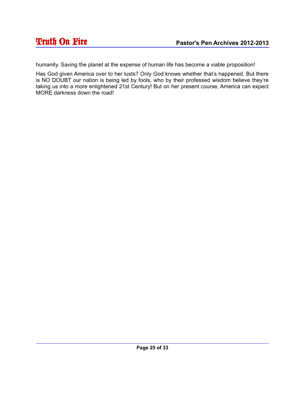humanity. Saving the planet at the expense of human life has become a viable proposition!

Has God given America over to her lusts? Only God knows whether that's happened. But there is NO DOUBT our nation is being led by fools, who by their professed wisdom believe they're taking us into a more enlightened 21st Century! But on her present course, America can expect MORE darkness down the road!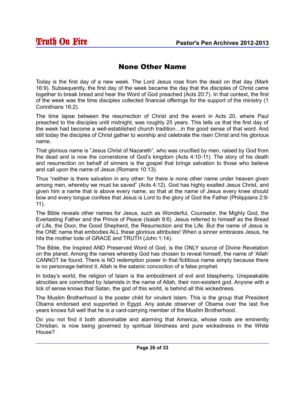#### None Other Name

Today is the first day of a new week. The Lord Jesus rose from the dead on that day (Mark 16:9). Subsequently, the first day of the week became the day that the disciples of Christ came together to break bread and hear the Word of God preached (Acts 20:7). In that context, the first of the week was the time disciples collected financial offerings for the support of the ministry (1 Corinthians 16:2).

The time lapse between the resurrection of Christ and the event in Acts 20, where Paul preached to the disciples until midnight, was roughly 25 years. This tells us that the first day of the week had become a well-established church tradition…in the good sense of that word. And still today the disciples of Christ gather to worship and celebrate the risen Christ and his glorious name.

That glorious name is "Jesus Christ of Nazareth", who was crucified by men, raised by God from the dead and is now the cornerstone of God's kingdom (Acts 4:10-11). The story of his death and resurrection on behalf of sinners is the gospel that brings salvation to those who believe and call upon the name of Jesus (Romans 10:13).

Thus "neither is there salvation in any other: for there is none other name under heaven given among men, whereby we must be saved" (Acts 4:12). God has highly exalted Jesus Christ, and given him a name that is above every name, so that at the name of Jesus every knee should bow and every tongue confess that Jesus is Lord to the glory of God the Father (Philippians 2:9- 11).

The Bible reveals other names for Jesus, such as Wonderful, Counselor, the Mighty God, the Everlasting Father and the Prince of Peace (Isaiah 9:6). Jesus referred to himself as the Bread of Life, the Door, the Good Shepherd, the Resurrection and the Life. But the name of Jesus is the ONE name that embodies ALL these glorious attributes! When a sinner embraces Jesus, he hits the mother lode of GRACE and TRUTH (John 1:14).

The Bible, the Inspired AND Preserved Word of God, is the ONLY source of Divine Revelation on the planet. Among the names whereby God has chosen to reveal himself, the name of 'Allah' CANNOT be found. There is NO redemption power in that fictitious name simply because there is no personage behind it. Allah is the satanic concoction of a false prophet.

In today's world, the religion of Islam is the embodiment of evil and blasphemy. Unspeakable atrocities are committed by Islamists in the name of Allah, their non-existent god. Anyone with a lick of sense knows that Satan, the god of this world, is behind all this wickedness.

The Muslim Brotherhood is the poster child for virulent Islam. This is the group that President Obama endorsed and supported in Egypt. Any astute observer of Obama over the last five years knows full well that he is a card-carrying member of the Muslim Brotherhood.

Do you not find it both abominable and alarming that America, whose roots are eminently Christian, is now being governed by spiritual blindness and pure wickedness in the White House?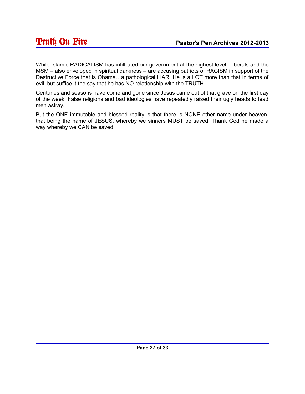While Islamic RADICALISM has infiltrated our government at the highest level, Liberals and the MSM – also enveloped in spiritual darkness – are accusing patriots of RACISM in support of the Destructive Force that is Obama…a pathological LIAR! He is a LOT more than that in terms of evil, but suffice it the say that he has NO relationship with the TRUTH.

Centuries and seasons have come and gone since Jesus came out of that grave on the first day of the week. False religions and bad ideologies have repeatedly raised their ugly heads to lead men astray.

But the ONE immutable and blessed reality is that there is NONE other name under heaven, that being the name of JESUS, whereby we sinners MUST be saved! Thank God he made a way whereby we CAN be saved!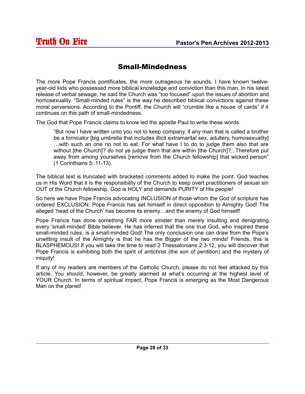#### Small-Mindedness

The more Pope Francis pontificates, the more outrageous he sounds. I have known twelveyear-old kids who possessed more biblical knowledge and conviction than this man. In his latest release of verbal sewage, he said the Church was "too focused" upon the issues of abortion and homosexuality. "Small-minded rules" is the way he described biblical convictions against these moral perversions. According to the Pontiff, the Church will "crumble like a house of cards" if it continues on this path of small-mindedness.

The God that Pope Francis claims to know led the apostle Paul to write these words:

"But now I have written unto you not to keep company, if any man that is called a brother be a fornicator [big umbrella that includes illicit extramarital sex, adultery, homosexuality] …with such an one no not to eat. For what have I to do to judge them also that are without [the Church]? do not ye judge them that are within [the Church]?...Therefore put away from among yourselves [remove from the Church fellowship] that wicked person" (1 Corinthians 5:.11-13).

The biblical text is truncated with bracketed comments added to make the point. God teaches us in His Word that it is the responsibility of the Church to keep overt practitioners of sexual sin OUT of the Church fellowship. God is HOLY and demands PURITY of His people!

So here we have Pope Francis advocating INCLUSION of those whom the God of scripture has ordered EXCLUSION. Pope Francis has set himself in direct opposition to Almighty God! The alleged 'head of the Church' has become its enemy…and the enemy of God himself!

Pope Francis has done something FAR more sinister than merely insulting and denigrating every 'small-minded' Bible believer. He has inferred that the one true God, who inspired these small-minded rules, is a small-minded God! The only conclusion one can draw from the Pope's unwitting insult of the Almighty is that he has the Bigger of the two minds! Friends, this is BLASPHEMOUS! If you will take the time to read 2 Thessalonians 2:3-12, you will discover that Pope Francis is exhibiting both the spirit of antichrist (the son of perdition) and the mystery of iniquity!

If any of my readers are members of the Catholic Church, please do not feel attacked by this article. You should, however, be greatly alarmed at what's occurring at the highest level of YOUR Church. In terms of spiritual impact, Pope Francis is emerging as the Most Dangerous Man on the planet!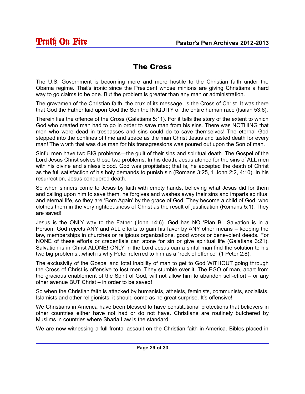#### The Cross

The U.S. Government is becoming more and more hostile to the Christian faith under the Obama regime. That's ironic since the President whose minions are giving Christians a hard way to go claims to be one. But the problem is greater than any man or administration.

The gravamen of the Christian faith, the crux of its message, is the Cross of Christ. It was there that God the Father laid upon God the Son the INIQUITY of the entire human race (Isaiah 53:6).

Therein lies the offence of the Cross (Galatians 5:11). For it tells the story of the extent to which God who created man had to go in order to save man from his sins. There was NOTHING that men who were dead in trespasses and sins could do to save themselves! The eternal God stepped into the confines of time and space as the man Christ Jesus and tasted death for every man! The wrath that was due man for his transgressions was poured out upon the Son of man.

Sinful men have two BIG problems—the guilt of their sins and spiritual death. The Gospel of the Lord Jesus Christ solves those two problems. In his death, Jesus atoned for the sins of ALL men with his divine and sinless blood. God was propitiated; that is, he accepted the death of Christ as the full satisfaction of his holy demands to punish sin (Romans 3:25, 1 John 2:2, 4:10). In his resurrection, Jesus conquered death.

So when sinners come to Jesus by faith with empty hands, believing what Jesus did for them and calling upon him to save them, he forgives and washes away their sins and imparts spiritual and eternal life, so they are 'Born Again' by the grace of God! They become a child of God, who clothes them in the very righteousness of Christ as the result of justification (Romans 5:1). They are saved!

Jesus is the ONLY way to the Father (John 14:6). God has NO 'Plan B'. Salvation is in a Person. God rejects ANY and ALL efforts to gain his favor by ANY other means – keeping the law, memberships in churches or religious organizations, good works or benevolent deeds. For NONE of these efforts or credentials can atone for sin or give spiritual life (Galatians 3:21). Salvation is in Christ ALONE! ONLY in the Lord Jesus can a sinful man find the solution to his two big problems...which is why Peter referred to him as a "rock of offence" (1 Peter 2:8).

The exclusivity of the Gospel and total inability of man to get to God WITHOUT going through the Cross of Christ is offensive to lost men. They stumble over it. The EGO of man, apart from the gracious enablement of the Spirit of God, will not allow him to abandon self-effort – or any other avenue BUT Christ – in order to be saved!

So when the Christian faith is attacked by humanists, atheists, feminists, communists, socialists, Islamists and other religionists, it should come as no great surprise. It's offensive!

We Christians in America have been blessed to have constitutional protections that believers in other countries either have not had or do not have. Christians are routinely butchered by Muslims in countries where Sharia Law is the standard.

We are now witnessing a full frontal assault on the Christian faith in America. Bibles placed in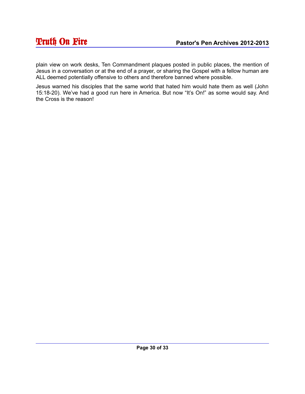plain view on work desks, Ten Commandment plaques posted in public places, the mention of Jesus in a conversation or at the end of a prayer, or sharing the Gospel with a fellow human are ALL deemed potentially offensive to others and therefore banned where possible.

Jesus warned his disciples that the same world that hated him would hate them as well (John 15:18-20). We've had a good run here in America. But now "It's On!" as some would say. And the Cross is the reason!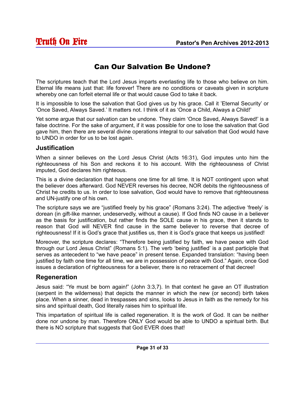## Can Our Salvation Be Undone?

The scriptures teach that the Lord Jesus imparts everlasting life to those who believe on him. Eternal life means just that: life forever! There are no conditions or caveats given in scripture whereby one can forfeit eternal life or that would cause God to take it back.

It is impossible to lose the salvation that God gives us by his grace. Call it 'Eternal Security' or 'Once Saved, Always Saved.' It matters not. I think of it as 'Once a Child, Always a Child!'

Yet some argue that our salvation can be undone. They claim 'Once Saved, Always Saved!' is a false doctrine. For the sake of argument, if it was possible for one to lose the salvation that God gave him, then there are several divine operations integral to our salvation that God would have to UNDO in order for us to be lost again.

#### **Justification**

When a sinner believes on the Lord Jesus Christ (Acts 16:31), God imputes unto him the righteousness of his Son and reckons it to his account. With the righteousness of Christ imputed, God declares him righteous.

This is a divine declaration that happens one time for all time. It is NOT contingent upon what the believer does afterward. God NEVER reverses his decree, NOR debits the righteousness of Christ he credits to us. In order to lose salvation, God would have to remove that righteousness and UN-justify one of his own.

The scripture says we are "justified freely by his grace" (Romans 3:24). The adjective 'freely' is dorean (in gift-like manner, undeservedly, without a cause). If God finds NO cause in a believer as the basis for justification, but rather finds the SOLE cause in his grace, then it stands to reason that God will NEVER find cause in the same believer to reverse that decree of righteousness! If it is God's grace that justifies us, then it is God's grace that keeps us justified!

Moreover, the scripture declares: "Therefore being justified by faith, we have peace with God through our Lord Jesus Christ" (Romans 5:1). The verb 'being justified' is a past participle that serves as antecedent to "we have peace" in present tense. Expanded translation: "having been justified by faith one time for all time, we are in possession of peace with God." Again, once God issues a declaration of righteousness for a believer, there is no retracement of that decree!

#### **Regeneration**

Jesus said: "Ye must be born again!" (John 3:3,7). In that context he gave an OT illustration (serpent in the wilderness) that depicts the manner in which the new (or second) birth takes place. When a sinner, dead in trespasses and sins, looks to Jesus in faith as the remedy for his sins and spiritual death, God literally raises him to spiritual life.

This impartation of spiritual life is called regeneration. It is the work of God. It can be neither done nor undone by man. Therefore ONLY God would be able to UNDO a spiritual birth. But there is NO scripture that suggests that God EVER does that!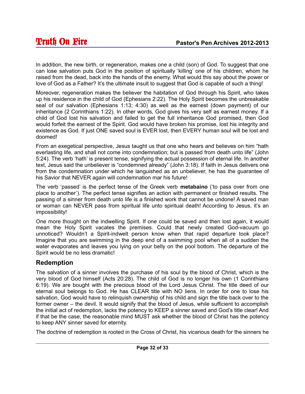In addition, the new birth, or regeneration, makes one a child (son) of God. To suggest that one can lose salvation puts God in the position of spiritually 'killing' one of his children, whom he raised from the dead, back into the hands of the enemy. What would this say about the power or love of God as a Father? It's the ultimate insult to suggest that God is capable of such a thing!

Moreover, regeneration makes the believer the habitation of God through his Spirit, who takes up his residence in the child of God (Ephesians 2:22). The Holy Spirit becomes the unbreakable seal of our salvation (Ephesians 1:13; 4:30) as well as the earnest (down payment) of our inheritance (2 Corinthians 1:22). In other words, God gives his very self as earnest money. If a child of God lost his salvation and failed to get the full inheritance God promised, then God would forfeit the earnest of the Spirit. God would have broken his promise, lost his integrity and existence as God. If just ONE saved soul is EVER lost, then EVERY human soul will be lost and doomed!

From an exegetical perspective, Jesus taught us that one who hears and believes on him "hath everlasting life, and shall not come into condemnation; but is passed from death unto life" (John 5:24). The verb 'hath' is present tense, signifying the actual possession of eternal life. In another text, Jesus said the unbeliever is "condemned already" (John 3:18). If faith in Jesus delivers one from the condemnation under which he languished as an unbeliever, he has the guarantee of his Savior that NEVER again will condemnation mar his future!

The verb 'passed' is the perfect tense of the Greek verb **metabaino** ('to pass over from one place to another'). The perfect tense signifies an action with permanent or finished results. The passing of a sinner from death unto life is a finished work that cannot be undone! A saved man or woman can NEVER pass from spiritual life unto spiritual death! According to Jesus, it's an impossibility!

One more thought on the indwelling Spirit. If one could be saved and then lost again, it would mean the Holy Spirit vacates the premises. Could that newly created God-vacuum go unnoticed? Wouldn't a Spirit-indwelt person know when that rapid departure took place? Imagine that you are swimming in the deep end of a swimming pool when all of a sudden the water evaporates and leaves you lying on your belly on the pool bottom. The departure of the Spirit would be no less dramatic!

#### **Redemption**

The salvation of a sinner involves the purchase of his soul by the blood of Christ, which is the very blood of God himself (Acts 20:28). The child of God is no longer his own (1 Corinthians 6:19). We are bought with the precious blood of the Lord Jesus Christ. The title deed of our eternal soul belongs to God. He has CLEAR title with NO liens. In order for one to lose his salvation, God would have to relinquish ownership of his child and sign the title back over to the former owner – the devil. It would signify that the blood of Jesus, while sufficient to accomplish the initial act of redemption, lacks the potency to KEEP a sinner saved and God's title clear! And if that be the case, the reasonable mind MUST ask whether the blood of Christ has the potency to keep ANY sinner saved for eternity.

The doctrine of redemption is rooted in the Cross of Christ, his vicarious death for the sinners he